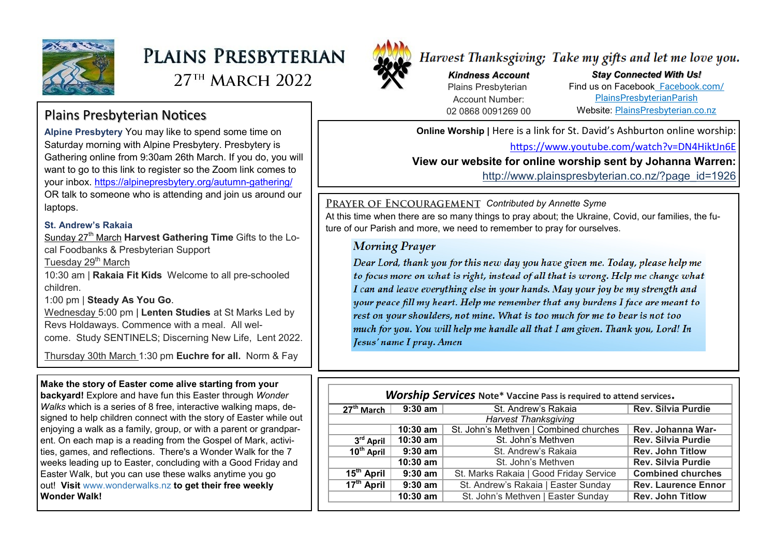

# PLAINS PRESBYTERIAN

 $27<sup>TH</sup>$  MARCH 2022



## Harvest Thanksgiving; Take my gifts and let me love you.

*Kindness Account* Plains Presbyterian Account Number: 02 0868 0091269 00

*Stay Connected With Us!* Find us on Facebook [Facebook.com/](file:///C:/Users/PlainsAdmin/Documents/2021PLAINS/ls/2022/Facebook.com/PlainsPresbyterianParish) [PlainsPresbyterianParish](file:///C:/Users/PlainsAdmin/Documents/2021PLAINS/ls/2022/Facebook.com/PlainsPresbyterianParish) Website: [PlainsPresbyterian.co.nz](http://www.plainspresbyterian.co.nz/)

**Online Worship | Here is a link for St. David's Ashburton online worship:** 

<https://www.youtube.com/watch?v=DN4HiktJn6E>

**View our website for online worship sent by Johanna Warren:** 

http://www.plainspresbyterian.co.nz/?page\_id=1926

**PRAYER OF ENCOURAGEMENT Contributed by Annette Syme** 

At this time when there are so many things to pray about; the Ukraine, Covid, our families, the future of our Parish and more, we need to remember to pray for ourselves.

#### **Morning Prayer**

Dear Lord, thank you for this new day you have given me. Today, please help me to focus more on what is right, instead of all that is wrong. Help me change what I can and leave everything else in your hands. May your joy be my strength and your peace fill my heart. Help me remember that any burdens I face are meant to rest on your shoulders, not mine. What is too much for me to bear is not too much for you. You will help me handle all that I am given. Thank you, Lord! In Jesus' name I pray. Amen

| <b>Worship Services</b> Note* Vaccine Pass is required to attend services. |            |                                        |                            |
|----------------------------------------------------------------------------|------------|----------------------------------------|----------------------------|
| $27th$ March                                                               | $9:30$ am  | St. Andrew's Rakaia                    | <b>Rev. Silvia Purdie</b>  |
| <b>Harvest Thanksgiving</b>                                                |            |                                        |                            |
|                                                                            | $10:30$ am | St. John's Methven   Combined churches | Rev. Johanna War-          |
| 3 <sup>rd</sup> April                                                      | $10:30$ am | St. John's Methven                     | <b>Rev. Silvia Purdie</b>  |
| 10 <sup>th</sup> April                                                     | $9:30$ am  | St. Andrew's Rakaja                    | <b>Rev. John Titlow</b>    |
|                                                                            | 10:30 am   | St. John's Methyen                     | <b>Rev. Silvia Purdie</b>  |
| $15tn$ April                                                               | $9:30$ am  | St. Marks Rakaia   Good Friday Service | <b>Combined churches</b>   |
| $17^{\text{th}}$ April                                                     | $9:30$ am  | St. Andrew's Rakaia   Easter Sunday    | <b>Rev. Laurence Ennor</b> |
|                                                                            | 10:30 am   | St. John's Methven   Easter Sunday     | <b>Rev. John Titlow</b>    |

## Plains Presbyterian Notices

**Alpine Presbytery** You may like to spend some time on Saturday morning with Alpine Presbytery. Presbytery is Gathering online from 9:30am 26th March. If you do, you will want to go to this link to register so the Zoom link comes to your inbox. [https://alpinepresbytery.org/autumn](https://alpinepresbytery.org/autumn-gathering/)-gathering/ OR talk to someone who is attending and join us around our laptops.

#### **St. Andrew's Rakaia**

Sunday 27<sup>th</sup> March **Harvest Gathering Time** Gifts to the Local Foodbanks & Presbyterian Support

Tuesday 29<sup>th</sup> March

10:30 am | **Rakaia Fit Kids** Welcome to all pre-schooled children.

1:00 pm | **Steady As You Go**.

Wednesday 5:00 pm | **Lenten Studies** at St Marks Led by Revs Holdaways. Commence with a meal. All welcome. Study SENTINELS; Discerning New Life, Lent 2022.

Thursday 30th March 1:30 pm **Euchre for all.** Norm & Fay

#### **Make the story of Easter come alive starting from your**

**backyard!** Explore and have fun this Easter through *Wonder Walks* which is a series of 8 free, interactive walking maps, designed to help children connect with the story of Easter while out enjoying a walk as a family, group, or with a parent or grandparent. On each map is a reading from the Gospel of Mark, activities, games, and reflections.  There's a Wonder Walk for the 7 weeks leading up to Easter, concluding with a Good Friday and Easter Walk, but you can use these walks anytime you go out! **Visit** [www.wonderwalks.nz](https://eml-paus01.app.blackbaud.net/intv2/j/2B829896-0B1F-4A0C-BA9E-EAE65D0F3E42/r/2B829896-0B1F-4A0C-BA9E-EAE65D0F3E42_4dc0a748-e448-4f21-b896-858c0a2f98ce/l/D57837B5-ED11-42A7-A23B-DBDE015A9B10/c) **to get their free weekly Wonder Walk!**